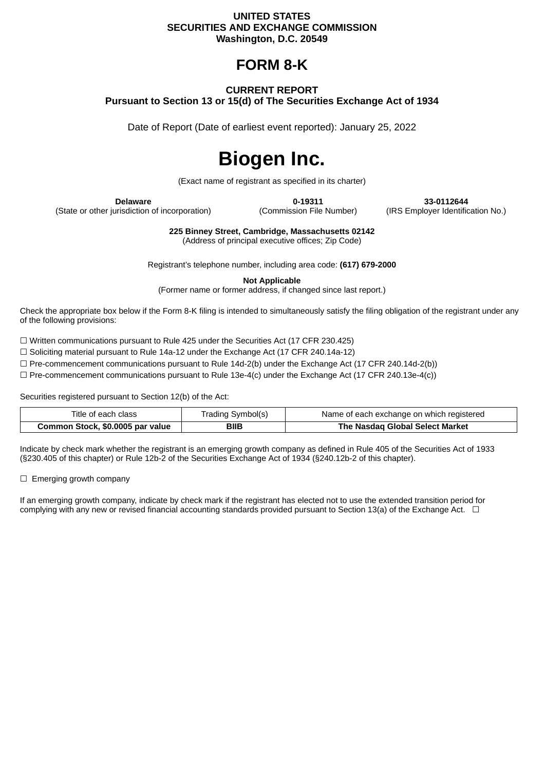# **UNITED STATES SECURITIES AND EXCHANGE COMMISSION Washington, D.C. 20549**

# **FORM 8-K**

# **CURRENT REPORT Pursuant to Section 13 or 15(d) of The Securities Exchange Act of 1934**

Date of Report (Date of earliest event reported): January 25, 2022

# **Biogen Inc.**

(Exact name of registrant as specified in its charter)

(State or other jurisdiction of incorporation) (Commission File Number) (IRS Employer Identification No.)

**Delaware 0-19311 33-0112644**

**225 Binney Street, Cambridge, Massachusetts 02142**

(Address of principal executive offices; Zip Code)

Registrant's telephone number, including area code: **(617) 679-2000**

**Not Applicable**

(Former name or former address, if changed since last report.)

Check the appropriate box below if the Form 8-K filing is intended to simultaneously satisfy the filing obligation of the registrant under any of the following provisions:

 $\Box$  Written communications pursuant to Rule 425 under the Securities Act (17 CFR 230.425)

☐ Soliciting material pursuant to Rule 14a-12 under the Exchange Act (17 CFR 240.14a-12)

 $\Box$  Pre-commencement communications pursuant to Rule 14d-2(b) under the Exchange Act (17 CFR 240.14d-2(b))

☐ Pre-commencement communications pursuant to Rule 13e-4(c) under the Exchange Act (17 CFR 240.13e-4(c))

Securities registered pursuant to Section 12(b) of the Act:

| Title of each class              | Trading Symbol(s) | Name of each exchange on which registered |
|----------------------------------|-------------------|-------------------------------------------|
| Common Stock, \$0.0005 par value | BIIB              | The Nasdag Global Select Market           |

Indicate by check mark whether the registrant is an emerging growth company as defined in Rule 405 of the Securities Act of 1933 (§230.405 of this chapter) or Rule 12b-2 of the Securities Exchange Act of 1934 (§240.12b-2 of this chapter).

 $\Box$  Emerging growth company

If an emerging growth company, indicate by check mark if the registrant has elected not to use the extended transition period for complying with any new or revised financial accounting standards provided pursuant to Section 13(a) of the Exchange Act.  $\Box$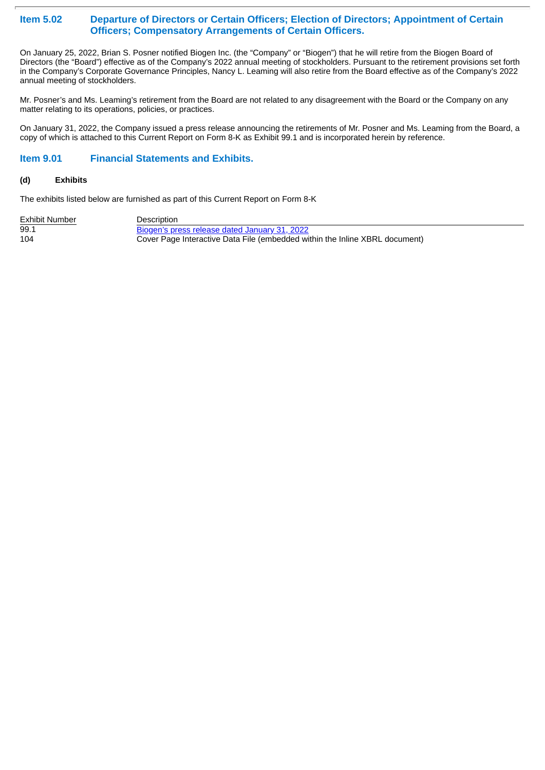#### **Item 5.02 Departure of Directors or Certain Officers; Election of Directors; Appointment of Certain Officers; Compensatory Arrangements of Certain Officers.**

On January 25, 2022, Brian S. Posner notified Biogen Inc. (the "Company" or "Biogen") that he will retire from the Biogen Board of Directors (the "Board") effective as of the Company's 2022 annual meeting of stockholders. Pursuant to the retirement provisions set forth in the Company's Corporate Governance Principles, Nancy L. Leaming will also retire from the Board effective as of the Company's 2022 annual meeting of stockholders.

Mr. Posner's and Ms. Leaming's retirement from the Board are not related to any disagreement with the Board or the Company on any matter relating to its operations, policies, or practices.

On January 31, 2022, the Company issued a press release announcing the retirements of Mr. Posner and Ms. Leaming from the Board, a copy of which is attached to this Current Report on Form 8-K as Exhibit 99.1 and is incorporated herein by reference.

# **Item 9.01 Financial Statements and Exhibits.**

#### **(d) Exhibits**

The exhibits listed below are furnished as part of this Current Report on Form 8-K

| <b>Exhibit Number</b> | Description                                                                 |  |
|-----------------------|-----------------------------------------------------------------------------|--|
| 99.1                  | Biogen's press release dated January 31, 2022                               |  |
| 104                   | Cover Page Interactive Data File (embedded within the Inline XBRL document) |  |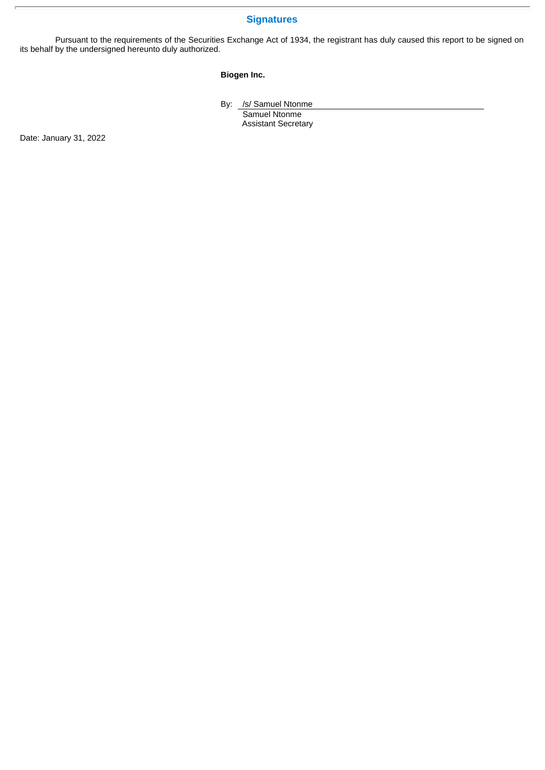# **Signatures**

Pursuant to the requirements of the Securities Exchange Act of 1934, the registrant has duly caused this report to be signed on its behalf by the undersigned hereunto duly authorized.

# **Biogen Inc.**

By: /s/ Samuel Ntonme

Samuel Ntonme Assistant Secretary

Date: January 31, 2022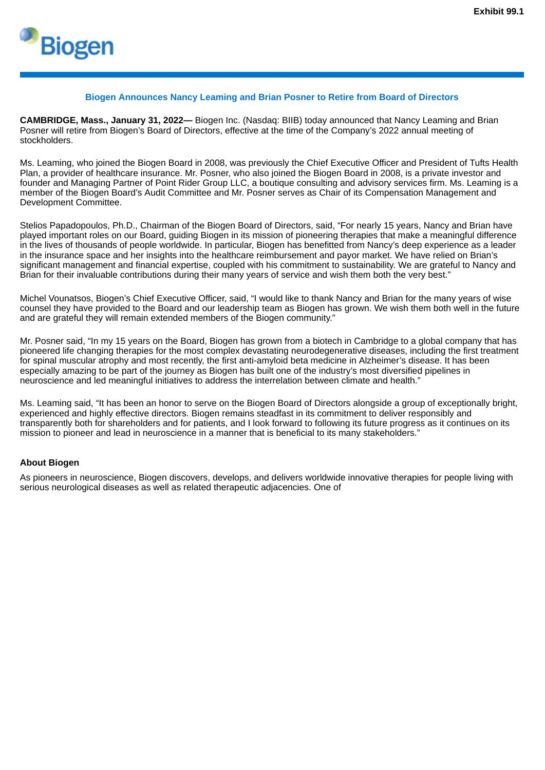<span id="page-3-0"></span>

#### **Biogen Announces Nancy Leaming and Brian Posner to Retire from Board of Directors**

**CAMBRIDGE, Mass., January 31, 2022—** Biogen Inc. (Nasdaq: BIIB) today announced that Nancy Leaming and Brian Posner will retire from Biogen's Board of Directors, effective at the time of the Company's 2022 annual meeting of stockholders.

Ms. Leaming, who joined the Biogen Board in 2008, was previously the Chief Executive Officer and President of Tufts Health Plan, a provider of healthcare insurance. Mr. Posner, who also joined the Biogen Board in 2008, is a private investor and founder and Managing Partner of Point Rider Group LLC, a boutique consulting and advisory services firm. Ms. Leaming is a member of the Biogen Board's Audit Committee and Mr. Posner serves as Chair of its Compensation Management and Development Committee.

Stelios Papadopoulos, Ph.D., Chairman of the Biogen Board of Directors, said, "For nearly 15 years, Nancy and Brian have played important roles on our Board, guiding Biogen in its mission of pioneering therapies that make a meaningful difference in the lives of thousands of people worldwide. In particular, Biogen has benefitted from Nancy's deep experience as a leader in the insurance space and her insights into the healthcare reimbursement and payor market. We have relied on Brian's significant management and financial expertise, coupled with his commitment to sustainability. We are grateful to Nancy and Brian for their invaluable contributions during their many years of service and wish them both the very best."

Michel Vounatsos, Biogen's Chief Executive Officer, said, "I would like to thank Nancy and Brian for the many years of wise counsel they have provided to the Board and our leadership team as Biogen has grown. We wish them both well in the future and are grateful they will remain extended members of the Biogen community."

Mr. Posner said, "In my 15 years on the Board, Biogen has grown from a biotech in Cambridge to a global company that has pioneered life changing therapies for the most complex devastating neurodegenerative diseases, including the first treatment for spinal muscular atrophy and most recently, the first anti-amyloid beta medicine in Alzheimer's disease. It has been especially amazing to be part of the journey as Biogen has built one of the industry's most diversified pipelines in neuroscience and led meaningful initiatives to address the interrelation between climate and health."

Ms. Leaming said, "It has been an honor to serve on the Biogen Board of Directors alongside a group of exceptionally bright, experienced and highly effective directors. Biogen remains steadfast in its commitment to deliver responsibly and transparently both for shareholders and for patients, and I look forward to following its future progress as it continues on its mission to pioneer and lead in neuroscience in a manner that is beneficial to its many stakeholders."

#### **About Biogen**

As pioneers in neuroscience, Biogen discovers, develops, and delivers worldwide innovative therapies for people living with serious neurological diseases as well as related therapeutic adjacencies. One of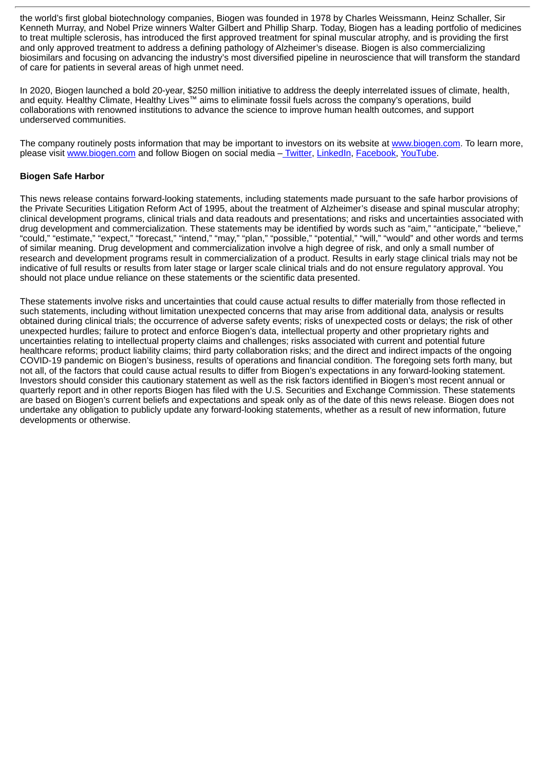the world's first global biotechnology companies, Biogen was founded in 1978 by Charles Weissmann, Heinz Schaller, Sir Kenneth Murray, and Nobel Prize winners Walter Gilbert and Phillip Sharp. Today, Biogen has a leading portfolio of medicines to treat multiple sclerosis, has introduced the first approved treatment for spinal muscular atrophy, and is providing the first and only approved treatment to address a defining pathology of Alzheimer's disease. Biogen is also commercializing biosimilars and focusing on advancing the industry's most diversified pipeline in neuroscience that will transform the standard of care for patients in several areas of high unmet need.

In 2020, Biogen launched a bold 20-year, \$250 million initiative to address the deeply interrelated issues of climate, health, and equity. Healthy Climate, Healthy Lives™ aims to eliminate fossil fuels across the company's operations, build collaborations with renowned institutions to advance the science to improve human health outcomes, and support underserved communities.

The company routinely posts information that may be important to investors on its website at www.biogen.com. To learn more, please visit www.biogen.com and follow Biogen on social media – Twitter, LinkedIn, Facebook, YouTube.

#### **Biogen Safe Harbor**

This news release contains forward-looking statements, including statements made pursuant to the safe harbor provisions of the Private Securities Litigation Reform Act of 1995, about the treatment of Alzheimer's disease and spinal muscular atrophy; clinical development programs, clinical trials and data readouts and presentations; and risks and uncertainties associated with drug development and commercialization. These statements may be identified by words such as "aim," "anticipate," "believe," "could," "estimate," "expect," "forecast," "intend," "may," "plan," "possible," "potential," "will," "would" and other words and terms of similar meaning. Drug development and commercialization involve a high degree of risk, and only a small number of research and development programs result in commercialization of a product. Results in early stage clinical trials may not be indicative of full results or results from later stage or larger scale clinical trials and do not ensure regulatory approval. You should not place undue reliance on these statements or the scientific data presented.

These statements involve risks and uncertainties that could cause actual results to differ materially from those reflected in such statements, including without limitation unexpected concerns that may arise from additional data, analysis or results obtained during clinical trials; the occurrence of adverse safety events; risks of unexpected costs or delays; the risk of other unexpected hurdles; failure to protect and enforce Biogen's data, intellectual property and other proprietary rights and uncertainties relating to intellectual property claims and challenges; risks associated with current and potential future healthcare reforms; product liability claims; third party collaboration risks; and the direct and indirect impacts of the ongoing COVID-19 pandemic on Biogen's business, results of operations and financial condition. The foregoing sets forth many, but not all, of the factors that could cause actual results to differ from Biogen's expectations in any forward-looking statement. Investors should consider this cautionary statement as well as the risk factors identified in Biogen's most recent annual or quarterly report and in other reports Biogen has filed with the U.S. Securities and Exchange Commission. These statements are based on Biogen's current beliefs and expectations and speak only as of the date of this news release. Biogen does not undertake any obligation to publicly update any forward-looking statements, whether as a result of new information, future developments or otherwise.